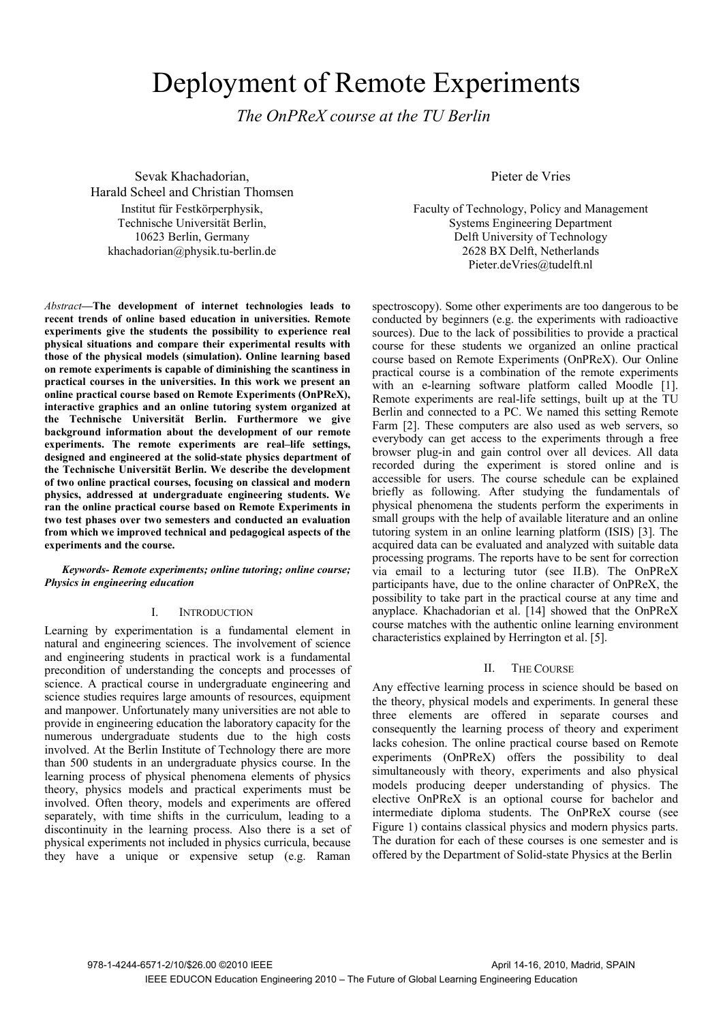# Deployment of Remote Experiments

*The OnPReX course at the TU Berlin*

Sevak Khachadorian, Harald Scheel and Christian Thomsen Institut für Festkörperphysik, Technische Universität Berlin, 10623 Berlin, Germany khachadorian@physik.tu-berlin.de

*Abstract***—The development of internet technologies leads to recent trends of online based education in universities. Remote experiments give the students the possibility to experience real physical situations and compare their experimental results with those of the physical models (simulation). Online learning based on remote experiments is capable of diminishing the scantiness in practical courses in the universities. In this work we present an online practical course based on Remote Experiments (OnPReX), interactive graphics and an online tutoring system organized at the Technische Universität Berlin. Furthermore we give background information about the development of our remote experiments. The remote experiments are real–life settings, designed and engineered at the solid-state physics department of the Technische Universität Berlin. We describe the development of two online practical courses, focusing on classical and modern physics, addressed at undergraduate engineering students. We ran the online practical course based on Remote Experiments in two test phases over two semesters and conducted an evaluation from which we improved technical and pedagogical aspects of the experiments and the course.** 

## *Keywords- Remote experiments; online tutoring; online course; Physics in engineering education*

## I. INTRODUCTION

Learning by experimentation is a fundamental element in natural and engineering sciences. The involvement of science and engineering students in practical work is a fundamental precondition of understanding the concepts and processes of science. A practical course in undergraduate engineering and science studies requires large amounts of resources, equipment and manpower. Unfortunately many universities are not able to provide in engineering education the laboratory capacity for the numerous undergraduate students due to the high costs involved. At the Berlin Institute of Technology there are more than 500 students in an undergraduate physics course. In the learning process of physical phenomena elements of physics theory, physics models and practical experiments must be involved. Often theory, models and experiments are offered separately, with time shifts in the curriculum, leading to a discontinuity in the learning process. Also there is a set of physical experiments not included in physics curricula, because they have a unique or expensive setup (e.g. Raman

Pieter de Vries

Faculty of Technology, Policy and Management Systems Engineering Department Delft University of Technology 2628 BX Delft, Netherlands Pieter.deVries@tudelft.nl

spectroscopy). Some other experiments are too dangerous to be conducted by beginners (e.g. the experiments with radioactive sources). Due to the lack of possibilities to provide a practical course for these students we organized an online practical course based on Remote Experiments (OnPReX). Our Online practical course is a combination of the remote experiments with an e-learning software platform called Moodle [1]. Remote experiments are real-life settings, built up at the TU Berlin and connected to a PC. We named this setting Remote Farm [2]. These computers are also used as web servers, so everybody can get access to the experiments through a free browser plug-in and gain control over all devices. All data recorded during the experiment is stored online and is accessible for users. The course schedule can be explained briefly as following. After studying the fundamentals of physical phenomena the students perform the experiments in small groups with the help of available literature and an online tutoring system in an online learning platform (ISIS) [3]. The acquired data can be evaluated and analyzed with suitable data processing programs. The reports have to be sent for correction via email to a lecturing tutor (see II.B). The OnPReX participants have, due to the online character of OnPReX, the possibility to take part in the practical course at any time and anyplace. Khachadorian et al. [14] showed that the OnPReX course matches with the authentic online learning environment characteristics explained by Herrington et al. [5].

## II. THE COURSE

Any effective learning process in science should be based on the theory, physical models and experiments. In general these three elements are offered in separate courses and consequently the learning process of theory and experiment lacks cohesion. The online practical course based on Remote experiments (OnPReX) offers the possibility to deal simultaneously with theory, experiments and also physical models producing deeper understanding of physics. The elective OnPReX is an optional course for bachelor and intermediate diploma students. The OnPReX course (see Figure 1) contains classical physics and modern physics parts. The duration for each of these courses is one semester and is offered by the Department of Solid-state Physics at the Berlin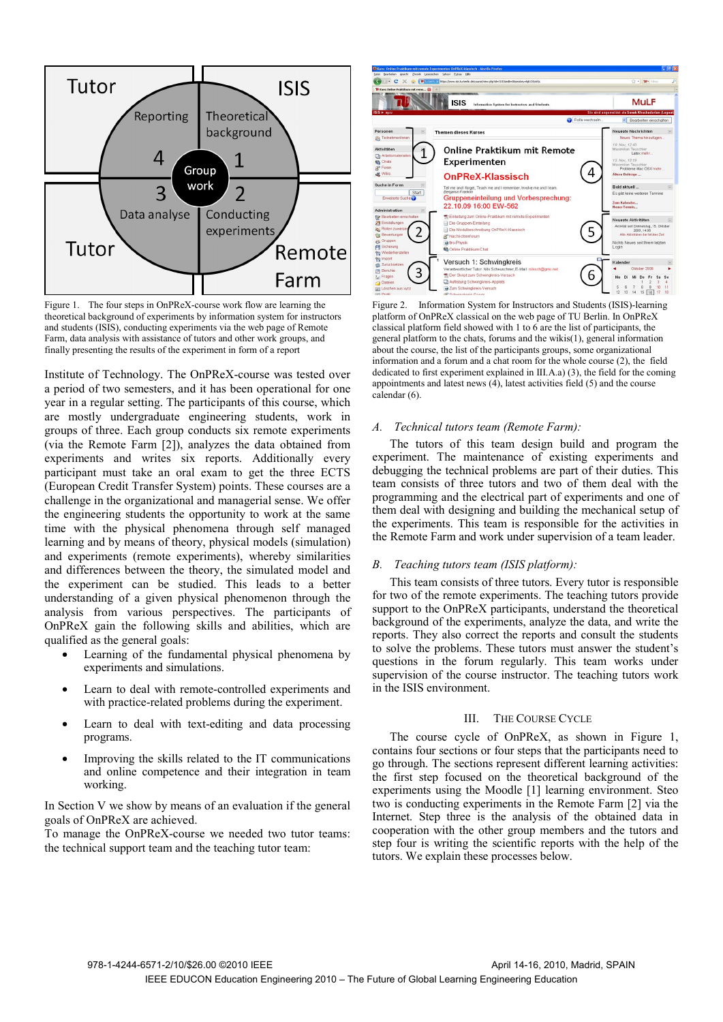

Figure 1. The four steps in OnPReX-course work flow are learning the theoretical background of experiments by information system for instructors and students (ISIS), conducting experiments via the web page of Remote Farm, data analysis with assistance of tutors and other work groups, and finally presenting the results of the experiment in form of a report

Institute of Technology. The OnPReX-course was tested over a period of two semesters, and it has been operational for one year in a regular setting. The participants of this course, which are mostly undergraduate engineering students, work in groups of three. Each group conducts six remote experiments (via the Remote Farm [2]), analyzes the data obtained from experiments and writes six reports. Additionally every participant must take an oral exam to get the three ECTS (European Credit Transfer System) points. These courses are a challenge in the organizational and managerial sense. We offer the engineering students the opportunity to work at the same time with the physical phenomena through self managed learning and by means of theory, physical models (simulation) and experiments (remote experiments), whereby similarities and differences between the theory, the simulated model and the experiment can be studied. This leads to a better understanding of a given physical phenomenon through the analysis from various perspectives. The participants of OnPReX gain the following skills and abilities, which are qualified as the general goals:

- Learning of the fundamental physical phenomena by experiments and simulations.
- Learn to deal with remote-controlled experiments and with practice-related problems during the experiment.
- Learn to deal with text-editing and data processing programs.
- Improving the skills related to the IT communications and online competence and their integration in team working.

In Section V we show by means of an evaluation if the general goals of OnPReX are achieved.

To manage the OnPReX-course we needed two tutor teams: the technical support team and the teaching tutor team:



Figure 2. Information System for Instructors and Students (ISIS)-learning platform of OnPReX classical on the web page of TU Berlin. In OnPReX classical platform field showed with 1 to 6 are the list of participants, the general platform to the chats, forums and the wikis(1), general information about the course, the list of the participants groups, some organizational information and a forum and a chat room for the whole course (2), the field dedicated to first experiment explained in III.A.a) (3), the field for the coming appointments and latest news (4), latest activities field (5) and the course calendar (6).

# *A. Technical tutors team (Remote Farm):*

The tutors of this team design build and program the experiment. The maintenance of existing experiments and debugging the technical problems are part of their duties. This team consists of three tutors and two of them deal with the programming and the electrical part of experiments and one of them deal with designing and building the mechanical setup of the experiments. This team is responsible for the activities in the Remote Farm and work under supervision of a team leader.

## *B. Teaching tutors team (ISIS platform):*

This team consists of three tutors. Every tutor is responsible for two of the remote experiments. The teaching tutors provide support to the OnPReX participants, understand the theoretical background of the experiments, analyze the data, and write the reports. They also correct the reports and consult the students to solve the problems. These tutors must answer the student's questions in the forum regularly. This team works under supervision of the course instructor. The teaching tutors work in the ISIS environment.

#### III. THE COURSE CYCLE

The course cycle of OnPReX, as shown in Figure 1, contains four sections or four steps that the participants need to go through. The sections represent different learning activities: the first step focused on the theoretical background of the experiments using the Moodle [1] learning environment. Steo two is conducting experiments in the Remote Farm [2] via the Internet. Step three is the analysis of the obtained data in cooperation with the other group members and the tutors and step four is writing the scientific reports with the help of the tutors. We explain these processes below.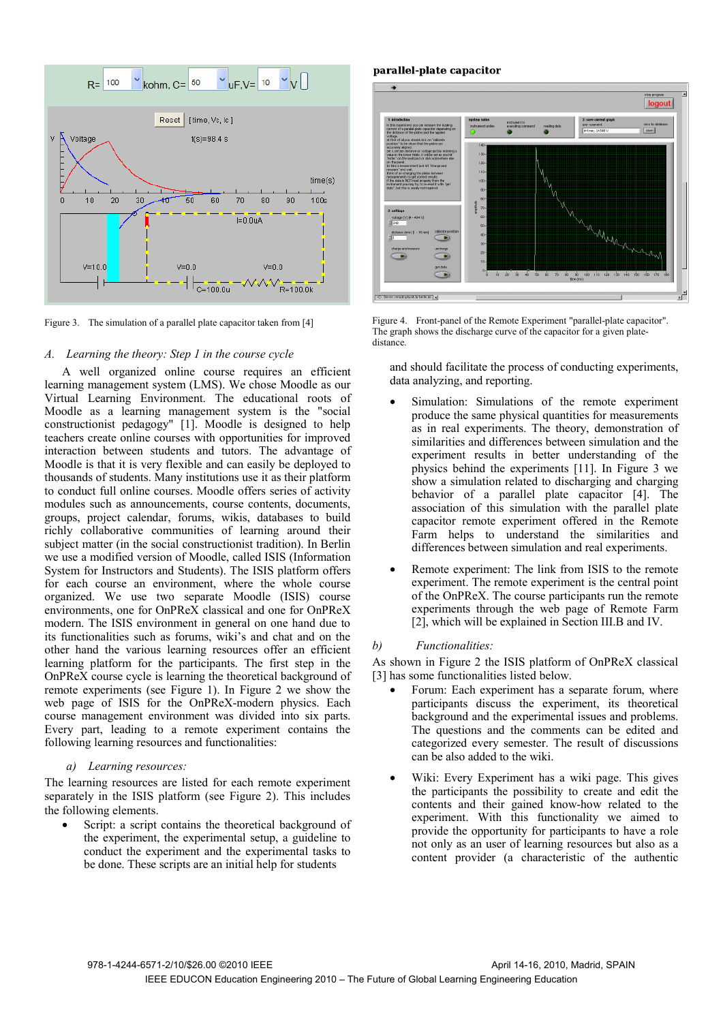

Figure 3. The simulation of a parallel plate capacitor taken from [4]

## *A. Learning the theory: Step 1 in the course cycle*

A well organized online course requires an efficient learning management system (LMS). We chose Moodle as our Virtual Learning Environment. The educational roots of Moodle as a learning management system is the "social constructionist pedagogy" [1]. Moodle is designed to help teachers create online courses with opportunities for improved interaction between students and tutors. The advantage of Moodle is that it is very flexible and can easily be deployed to thousands of students. Many institutions use it as their platform to conduct full online courses. Moodle offers series of activity modules such as announcements, course contents, documents, groups, project calendar, forums, wikis, databases to build richly collaborative communities of learning around their subject matter (in the social constructionist tradition). In Berlin we use a modified version of Moodle, called ISIS (Information System for Instructors and Students). The ISIS platform offers for each course an environment, where the whole course organized. We use two separate Moodle (ISIS) course environments, one for OnPReX classical and one for OnPReX modern. The ISIS environment in general on one hand due to its functionalities such as forums, wiki's and chat and on the other hand the various learning resources offer an efficient learning platform for the participants. The first step in the OnPReX course cycle is learning the theoretical background of remote experiments (see Figure 1). In Figure 2 we show the web page of ISIS for the OnPReX-modern physics. Each course management environment was divided into six parts. Every part, leading to a remote experiment contains the following learning resources and functionalities:

#### *a) Learning resources:*

The learning resources are listed for each remote experiment separately in the ISIS platform (see Figure 2). This includes the following elements.

Script: a script contains the theoretical background of the experiment, the experimental setup, a guideline to conduct the experiment and the experimental tasks to be done. These scripts are an initial help for students

parallel-plate capacitor



Figure 4. Front-panel of the Remote Experiment "parallel-plate capacitor". The graph shows the discharge curve of the capacitor for a given platedistance.

and should facilitate the process of conducting experiments, data analyzing, and reporting.

- Simulation: Simulations of the remote experiment produce the same physical quantities for measurements as in real experiments. The theory, demonstration of similarities and differences between simulation and the experiment results in better understanding of the physics behind the experiments [11]. In Figure 3 we show a simulation related to discharging and charging behavior of a parallel plate capacitor [4]. The association of this simulation with the parallel plate capacitor remote experiment offered in the Remote Farm helps to understand the similarities and differences between simulation and real experiments.
- Remote experiment: The link from ISIS to the remote experiment. The remote experiment is the central point of the OnPReX. The course participants run the remote experiments through the web page of Remote Farm [2], which will be explained in Section III.B and IV.

## *b) Functionalities:*

As shown in Figure 2 the ISIS platform of OnPReX classical [3] has some functionalities listed below.

- Forum: Each experiment has a separate forum, where participants discuss the experiment, its theoretical background and the experimental issues and problems. The questions and the comments can be edited and categorized every semester. The result of discussions can be also added to the wiki.
- Wiki: Every Experiment has a wiki page. This gives the participants the possibility to create and edit the contents and their gained know-how related to the experiment. With this functionality we aimed to provide the opportunity for participants to have a role not only as an user of learning resources but also as a content provider (a characteristic of the authentic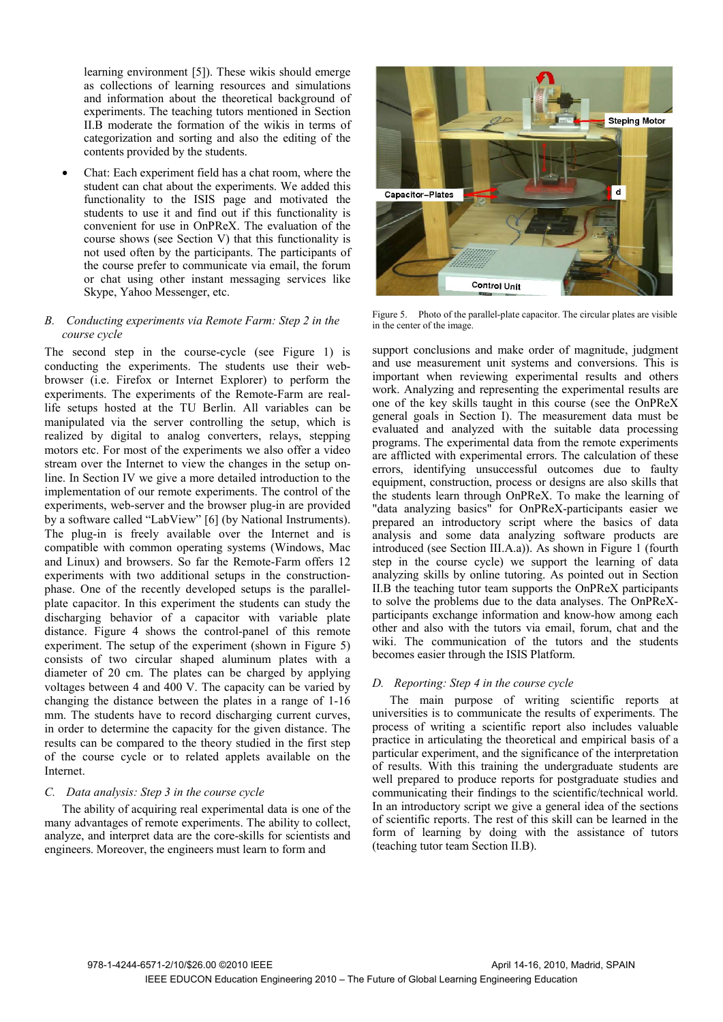learning environment [5]). These wikis should emerge as collections of learning resources and simulations and information about the theoretical background of experiments. The teaching tutors mentioned in Section II.B moderate the formation of the wikis in terms of categorization and sorting and also the editing of the contents provided by the students.

• Chat: Each experiment field has a chat room, where the student can chat about the experiments. We added this functionality to the ISIS page and motivated the students to use it and find out if this functionality is convenient for use in OnPReX. The evaluation of the course shows (see Section V) that this functionality is not used often by the participants. The participants of the course prefer to communicate via email, the forum or chat using other instant messaging services like Skype, Yahoo Messenger, etc.

# *B. Conducting experiments via Remote Farm: Step 2 in the course cycle*

The second step in the course-cycle (see Figure 1) is conducting the experiments. The students use their webbrowser (i.e. Firefox or Internet Explorer) to perform the experiments. The experiments of the Remote-Farm are reallife setups hosted at the TU Berlin. All variables can be manipulated via the server controlling the setup, which is realized by digital to analog converters, relays, stepping motors etc. For most of the experiments we also offer a video stream over the Internet to view the changes in the setup online. In Section IV we give a more detailed introduction to the implementation of our remote experiments. The control of the experiments, web-server and the browser plug-in are provided by a software called "LabView" [6] (by National Instruments). The plug-in is freely available over the Internet and is compatible with common operating systems (Windows, Mac and Linux) and browsers. So far the Remote-Farm offers 12 experiments with two additional setups in the constructionphase. One of the recently developed setups is the parallelplate capacitor. In this experiment the students can study the discharging behavior of a capacitor with variable plate distance. Figure 4 shows the control-panel of this remote experiment. The setup of the experiment (shown in Figure 5) consists of two circular shaped aluminum plates with a diameter of 20 cm. The plates can be charged by applying voltages between 4 and 400 V. The capacity can be varied by changing the distance between the plates in a range of 1-16 mm. The students have to record discharging current curves, in order to determine the capacity for the given distance. The results can be compared to the theory studied in the first step of the course cycle or to related applets available on the Internet.

# *C. Data analysis: Step 3 in the course cycle*

The ability of acquiring real experimental data is one of the many advantages of remote experiments. The ability to collect, analyze, and interpret data are the core-skills for scientists and engineers. Moreover, the engineers must learn to form and



Figure 5. Photo of the parallel-plate capacitor. The circular plates are visible in the center of the image.

support conclusions and make order of magnitude, judgment and use measurement unit systems and conversions. This is important when reviewing experimental results and others work. Analyzing and representing the experimental results are one of the key skills taught in this course (see the OnPReX general goals in Section I). The measurement data must be evaluated and analyzed with the suitable data processing programs. The experimental data from the remote experiments are afflicted with experimental errors. The calculation of these errors, identifying unsuccessful outcomes due to faulty equipment, construction, process or designs are also skills that the students learn through OnPReX. To make the learning of "data analyzing basics" for OnPReX-participants easier we prepared an introductory script where the basics of data analysis and some data analyzing software products are introduced (see Section III.A.a)). As shown in Figure 1 (fourth step in the course cycle) we support the learning of data analyzing skills by online tutoring. As pointed out in Section II.B the teaching tutor team supports the OnPReX participants to solve the problems due to the data analyses. The OnPReXparticipants exchange information and know-how among each other and also with the tutors via email, forum, chat and the wiki. The communication of the tutors and the students becomes easier through the ISIS Platform.

# *D. Reporting: Step 4 in the course cycle*

The main purpose of writing scientific reports at universities is to communicate the results of experiments. The process of writing a scientific report also includes valuable practice in articulating the theoretical and empirical basis of a particular experiment, and the significance of the interpretation of results. With this training the undergraduate students are well prepared to produce reports for postgraduate studies and communicating their findings to the scientific/technical world. In an introductory script we give a general idea of the sections of scientific reports. The rest of this skill can be learned in the form of learning by doing with the assistance of tutors (teaching tutor team Section II.B).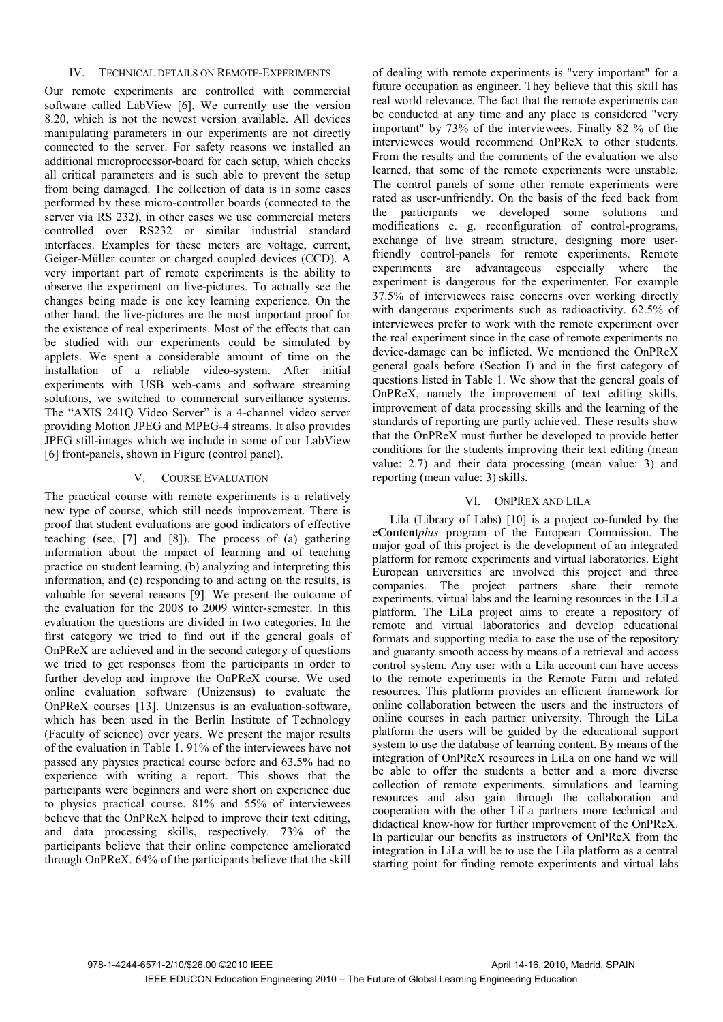# IV. TECHNICAL DETAILS ON REMOTE-EXPERIMENTS

Our remote experiments are controlled with commercial software called LabView [6]. We currently use the version 8.20, which is not the newest version available. All devices manipulating parameters in our experiments are not directly connected to the server. For safety reasons we installed an additional microprocessor-board for each setup, which checks all critical parameters and is such able to prevent the setup from being damaged. The collection of data is in some cases performed by these micro-controller boards (connected to the server via RS 232), in other cases we use commercial meters controlled over RS232 or similar industrial standard interfaces. Examples for these meters are voltage, current, Geiger-Müller counter or charged coupled devices (CCD). A very important part of remote experiments is the ability to observe the experiment on live-pictures. To actually see the changes being made is one key learning experience. On the other hand, the live-pictures are the most important proof for the existence of real experiments. Most of the effects that can be studied with our experiments could be simulated by applets. We spent a considerable amount of time on the installation of a reliable video-system. After initial experiments with USB web-cams and software streaming solutions, we switched to commercial surveillance systems. The "AXIS 241Q Video Server" is a 4-channel video server providing Motion JPEG and MPEG-4 streams. It also provides JPEG still-images which we include in some of our LabView [6] front-panels, shown in Figure (control panel).

# V. COURSE EVALUATION

The practical course with remote experiments is a relatively new type of course, which still needs improvement. There is proof that student evaluations are good indicators of effective teaching (see, [7] and [8]). The process of (a) gathering information about the impact of learning and of teaching practice on student learning, (b) analyzing and interpreting this information, and (c) responding to and acting on the results, is valuable for several reasons [9]. We present the outcome of the evaluation for the 2008 to 2009 winter-semester. In this evaluation the questions are divided in two categories. In the first category we tried to find out if the general goals of OnPReX are achieved and in the second category of questions we tried to get responses from the participants in order to further develop and improve the OnPReX course. We used online evaluation software (Unizensus) to evaluate the OnPReX courses [13]. Unizensus is an evaluation-software, which has been used in the Berlin Institute of Technology (Faculty of science) over years. We present the major results of the evaluation in Table 1. 91% of the interviewees have not passed any physics practical course before and 63.5% had no experience with writing a report. This shows that the participants were beginners and were short on experience due to physics practical course. 81% and 55% of interviewees believe that the OnPReX helped to improve their text editing, and data processing skills, respectively. 73% of the participants believe that their online competence ameliorated through OnPReX. 64% of the participants believe that the skill

of dealing with remote experiments is "very important" for a future occupation as engineer. They believe that this skill has real world relevance. The fact that the remote experiments can be conducted at any time and any place is considered "very important" by 73% of the interviewees. Finally 82 % of the interviewees would recommend OnPReX to other students. From the results and the comments of the evaluation we also learned, that some of the remote experiments were unstable. The control panels of some other remote experiments were rated as user-unfriendly. On the basis of the feed back from the participants we developed some solutions and modifications e. g. reconfiguration of control-programs, exchange of live stream structure, designing more userfriendly control-panels for remote experiments. Remote experiments are advantageous especially where the experiment is dangerous for the experimenter. For example 37.5% of interviewees raise concerns over working directly with dangerous experiments such as radioactivity. 62.5% of interviewees prefer to work with the remote experiment over the real experiment since in the case of remote experiments no device-damage can be inflicted. We mentioned the OnPReX general goals before (Section I) and in the first category of questions listed in Table 1. We show that the general goals of OnPReX, namely the improvement of text editing skills, improvement of data processing skills and the learning of the standards of reporting are partly achieved. These results show that the OnPReX must further be developed to provide better conditions for the students improving their text editing (mean value: 2.7) and their data processing (mean value: 3) and reporting (mean value: 3) skills.

# VI. ONPREX AND LILA

Lila (Library of Labs) [10] is a project co-funded by the e**Conten**t*plus* program of the European Commission. The major goal of this project is the development of an integrated platform for remote experiments and virtual laboratories. Eight European universities are involved this project and three companies. The project partners share their remote experiments, virtual labs and the learning resources in the LiLa platform. The LiLa project aims to create a repository of remote and virtual laboratories and develop educational formats and supporting media to ease the use of the repository and guaranty smooth access by means of a retrieval and access control system. Any user with a Lila account can have access to the remote experiments in the Remote Farm and related resources. This platform provides an efficient framework for online collaboration between the users and the instructors of online courses in each partner university. Through the LiLa platform the users will be guided by the educational support system to use the database of learning content. By means of the integration of OnPReX resources in LiLa on one hand we will be able to offer the students a better and a more diverse collection of remote experiments, simulations and learning resources and also gain through the collaboration and cooperation with the other LiLa partners more technical and didactical know-how for further improvement of the OnPReX. In particular our benefits as instructors of OnPReX from the integration in LiLa will be to use the Lila platform as a central starting point for finding remote experiments and virtual labs